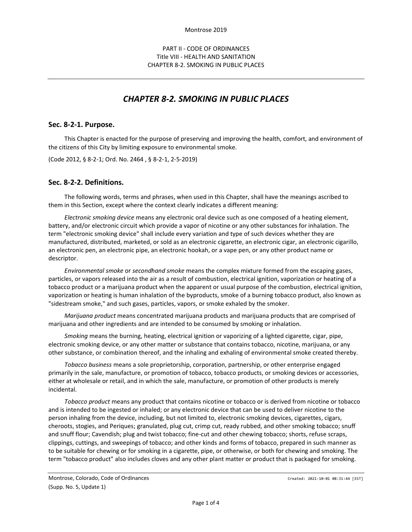## PART II - CODE OF ORDINANCES Title VIII - HEALTH AND SANITATION CHAPTER 8-2. SMOKING IN PUBLIC PLACES

# *CHAPTER 8-2. SMOKING IN PUBLIC PLACES*

#### **Sec. 8-2-1. Purpose.**

This Chapter is enacted for the purpose of preserving and improving the health, comfort, and environment of the citizens of this City by limiting exposure to environmental smoke.

(Code 2012, § 8-2-1; Ord. No. 2464 , § 8-2-1, 2-5-2019)

## **Sec. 8-2-2. Definitions.**

The following words, terms and phrases, when used in this Chapter, shall have the meanings ascribed to them in this Section, except where the context clearly indicates a different meaning:

*Electronic smoking device* means any electronic oral device such as one composed of a heating element, battery, and/or electronic circuit which provide a vapor of nicotine or any other substances for inhalation. The term "electronic smoking device" shall include every variation and type of such devices whether they are manufactured, distributed, marketed, or sold as an electronic cigarette, an electronic cigar, an electronic cigarillo, an electronic pen, an electronic pipe, an electronic hookah, or a vape pen, or any other product name or descriptor.

*Environmental smoke* or *secondhand smoke* means the complex mixture formed from the escaping gases, particles, or vapors released into the air as a result of combustion, electrical ignition, vaporization or heating of a tobacco product or a marijuana product when the apparent or usual purpose of the combustion, electrical ignition, vaporization or heating is human inhalation of the byproducts, smoke of a burning tobacco product, also known as "sidestream smoke," and such gases, particles, vapors, or smoke exhaled by the smoker.

*Marijuana product* means concentrated marijuana products and marijuana products that are comprised of marijuana and other ingredients and are intended to be consumed by smoking or inhalation.

*Smoking* means the burning, heating, electrical ignition or vaporizing of a lighted cigarette, cigar, pipe, electronic smoking device, or any other matter or substance that contains tobacco, nicotine, marijuana, or any other substance, or combination thereof, and the inhaling and exhaling of environmental smoke created thereby.

*Tobacco business* means a sole proprietorship, corporation, partnership, or other enterprise engaged primarily in the sale, manufacture, or promotion of tobacco, tobacco products, or smoking devices or accessories, either at wholesale or retail, and in which the sale, manufacture, or promotion of other products is merely incidental.

*Tobacco product* means any product that contains nicotine or tobacco or is derived from nicotine or tobacco and is intended to be ingested or inhaled; or any electronic device that can be used to deliver nicotine to the person inhaling from the device, including, but not limited to, electronic smoking devices, cigarettes, cigars, cheroots, stogies, and Periques; granulated, plug cut, crimp cut, ready rubbed, and other smoking tobacco; snuff and snuff flour; Cavendish; plug and twist tobacco; fine-cut and other chewing tobacco; shorts, refuse scraps, clippings, cuttings, and sweepings of tobacco; and other kinds and forms of tobacco, prepared in such manner as to be suitable for chewing or for smoking in a cigarette, pipe, or otherwise, or both for chewing and smoking. The term "tobacco product" also includes cloves and any other plant matter or product that is packaged for smoking.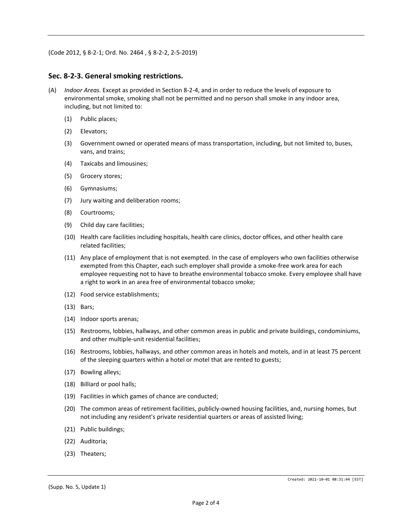(Code 2012, § 8-2-1; Ord. No. 2464 , § 8-2-2, 2-5-2019)

#### **Sec. 8-2-3. General smoking restrictions.**

- (A) *Indoor Areas.* Except as provided in Section 8-2-4, and in order to reduce the levels of exposure to environmental smoke, smoking shall not be permitted and no person shall smoke in any indoor area, including, but not limited to:
	- (1) Public places;
	- (2) Elevators;
	- (3) Government owned or operated means of mass transportation, including, but not limited to, buses, vans, and trains;
	- (4) Taxicabs and limousines;
	- (5) Grocery stores;
	- (6) Gymnasiums;
	- (7) Jury waiting and deliberation rooms;
	- (8) Courtrooms;
	- (9) Child day care facilities;
	- (10) Health care facilities including hospitals, health care clinics, doctor offices, and other health care related facilities;
	- (11) Any place of employment that is not exempted. In the case of employers who own facilities otherwise exempted from this Chapter, each such employer shall provide a smoke-free work area for each employee requesting not to have to breathe environmental tobacco smoke. Every employee shall have a right to work in an area free of environmental tobacco smoke;
	- (12) Food service establishments;
	- (13) Bars;
	- (14) Indoor sports arenas;
	- (15) Restrooms, lobbies, hallways, and other common areas in public and private buildings, condominiums, and other multiple-unit residential facilities;
	- (16) Restrooms, lobbies, hallways, and other common areas in hotels and motels, and in at least 75 percent of the sleeping quarters within a hotel or motel that are rented to guests;
	- (17) Bowling alleys;
	- (18) Billiard or pool halls;
	- (19) Facilities in which games of chance are conducted;
	- (20) The common areas of retirement facilities, publicly-owned housing facilities, and, nursing homes, but not including any resident's private residential quarters or areas of assisted living;
	- (21) Public buildings;
	- (22) Auditoria;
	- (23) Theaters;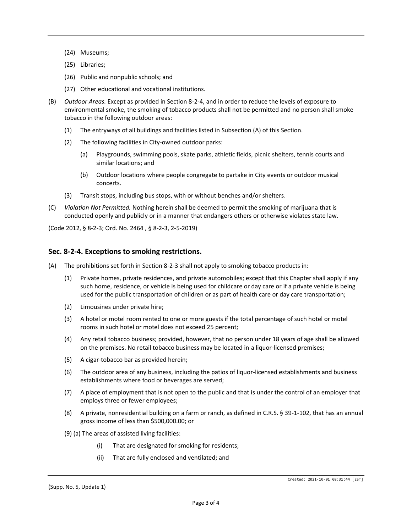- (24) Museums;
- (25) Libraries;
- (26) Public and nonpublic schools; and
- (27) Other educational and vocational institutions.
- (B) *Outdoor Areas.* Except as provided in Section 8-2-4, and in order to reduce the levels of exposure to environmental smoke, the smoking of tobacco products shall not be permitted and no person shall smoke tobacco in the following outdoor areas:
	- (1) The entryways of all buildings and facilities listed in Subsection (A) of this Section.
	- (2) The following facilities in City-owned outdoor parks:
		- (a) Playgrounds, swimming pools, skate parks, athletic fields, picnic shelters, tennis courts and similar locations; and
		- (b) Outdoor locations where people congregate to partake in City events or outdoor musical concerts.
	- (3) Transit stops, including bus stops, with or without benches and/or shelters.
- (C) *Violation Not Permitted.* Nothing herein shall be deemed to permit the smoking of marijuana that is conducted openly and publicly or in a manner that endangers others or otherwise violates state law.

(Code 2012, § 8-2-3; Ord. No. 2464 , § 8-2-3, 2-5-2019)

## **Sec. 8-2-4. Exceptions to smoking restrictions.**

- (A) The prohibitions set forth in Section 8-2-3 shall not apply to smoking tobacco products in:
	- (1) Private homes, private residences, and private automobiles; except that this Chapter shall apply if any such home, residence, or vehicle is being used for childcare or day care or if a private vehicle is being used for the public transportation of children or as part of health care or day care transportation;
	- (2) Limousines under private hire;
	- (3) A hotel or motel room rented to one or more guests if the total percentage of such hotel or motel rooms in such hotel or motel does not exceed 25 percent;
	- (4) Any retail tobacco business; provided, however, that no person under 18 years of age shall be allowed on the premises. No retail tobacco business may be located in a liquor-licensed premises;
	- (5) A cigar-tobacco bar as provided herein;
	- (6) The outdoor area of any business, including the patios of liquor-licensed establishments and business establishments where food or beverages are served;
	- (7) A place of employment that is not open to the public and that is under the control of an employer that employs three or fewer employees;
	- (8) A private, nonresidential building on a farm or ranch, as defined in C.R.S. § 39-1-102, that has an annual gross income of less than \$500,000.00; or
	- (9) (a) The areas of assisted living facilities:
		- (i) That are designated for smoking for residents;
		- (ii) That are fully enclosed and ventilated; and